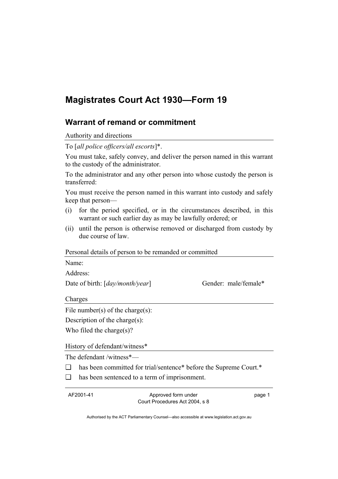# **Magistrates Court Act 1930—Form 19**

## **Warrant of remand or commitment**

Authority and directions

To [*all police officers/all escorts*]\*.

You must take, safely convey, and deliver the person named in this warrant to the custody of the administrator.

To the administrator and any other person into whose custody the person is transferred:

You must receive the person named in this warrant into custody and safely keep that person—

- (i) for the period specified, or in the circumstances described, in this warrant or such earlier day as may be lawfully ordered; or
- (ii) until the person is otherwise removed or discharged from custody by due course of law.

#### Personal details of person to be remanded or committed

Name:

Address:

Date of birth: [*day/month/year*] Gender: male/female\*

Charges

File number(s) of the charge(s):

Description of the charge(s):

Who filed the charge(s)?

History of defendant/witness\*

The defendant /witness\*—

- ❑ has been committed for trial/sentence\* before the Supreme Court.\*
- ❑ has been sentenced to a term of imprisonment.

AF2001-41 Approved form under Court Procedures Act 2004, s 8

page 1

Authorised by the ACT Parliamentary Counsel—also accessible at www.legislation.act.gov.au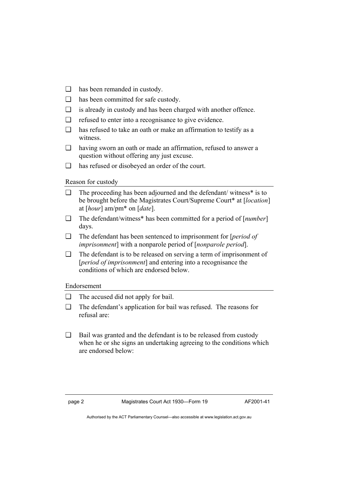- ❑ has been remanded in custody.
- ❑ has been committed for safe custody.
- ❑ is already in custody and has been charged with another offence.
- ❑ refused to enter into a recognisance to give evidence.
- ❑ has refused to take an oath or make an affirmation to testify as a witness.
- ❑ having sworn an oath or made an affirmation, refused to answer a question without offering any just excuse.
- ❑ has refused or disobeyed an order of the court.

Reason for custody

- ❑ The proceeding has been adjourned and the defendant/ witness\* is to be brought before the Magistrates Court/Supreme Court\* at [*location*] at [*hour*] am/pm\* on [*date*].
- ❑ The defendant/witness\* has been committed for a period of [*number*] days.
- ❑ The defendant has been sentenced to imprisonment for [*period of imprisonment*] with a nonparole period of [*nonparole period*].
- ❑ The defendant is to be released on serving a term of imprisonment of [*period of imprisonment*] and entering into a recognisance the conditions of which are endorsed below.

### Endorsement

- ❑ The accused did not apply for bail.
- ❑ The defendant's application for bail was refused. The reasons for refusal are:
- ❑ Bail was granted and the defendant is to be released from custody when he or she signs an undertaking agreeing to the conditions which are endorsed below:

page 2 Magistrates Court Act 1930—Form 19 AF2001-41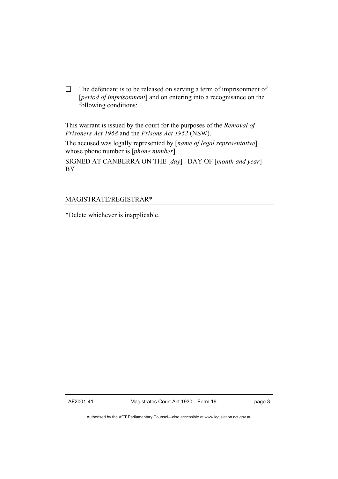❑ The defendant is to be released on serving a term of imprisonment of [*period of imprisonment*] and on entering into a recognisance on the following conditions:

This warrant is issued by the court for the purposes of the *Removal of Prisoners Act 1968* and the *Prisons Act 1952* (NSW).

The accused was legally represented by [*name of legal representative*] whose phone number is [*phone number*].

SIGNED AT CANBERRA ON THE [*day*] DAY OF [*month and year*] BY

### MAGISTRATE/REGISTRAR\*

\*Delete whichever is inapplicable.

AF2001-41 Magistrates Court Act 1930—Form 19 page 3

Authorised by the ACT Parliamentary Counsel—also accessible at www.legislation.act.gov.au